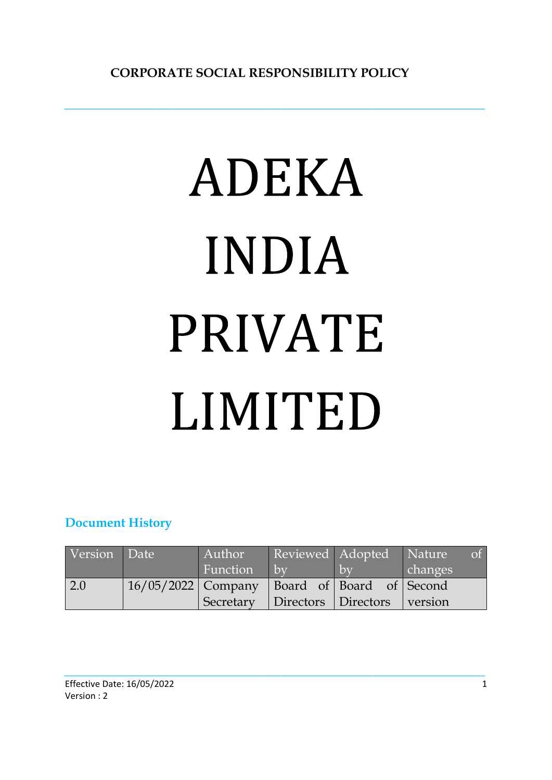*\_\_\_\_\_\_\_\_\_\_\_\_\_\_\_\_\_\_\_\_\_\_\_\_\_\_\_\_\_\_\_\_\_\_\_\_\_\_\_\_\_\_\_\_\_\_\_\_\_\_\_\_\_\_\_\_\_\_\_\_\_\_\_\_\_\_\_\_\_\_\_\_\_\_\_\_\_\_\_\_\_\_\_\_\_\_\_\_\_\_\_\_\_\_\_\_\_\_\_\_\_\_\_\_\_*

# ADEKA **INDIA PRIVATE** LIMITED

# **Document History**

| Version | Date                                        | Author          | Reviewed Adopted    |     | <b>Nature</b><br>of 1 |
|---------|---------------------------------------------|-----------------|---------------------|-----|-----------------------|
|         |                                             | <b>Function</b> | $\mathsf{bv}$       | 'bv | changes               |
| 2.0     | 16/05/2022 Company Board of Board of Second |                 |                     |     |                       |
|         |                                             | Secretary       | Directors Directors |     | version               |

*\_\_\_\_\_\_\_\_\_\_\_\_\_\_\_\_\_\_\_\_\_\_\_\_\_\_\_\_\_\_\_\_\_\_\_\_\_\_\_\_\_\_\_\_\_\_\_\_\_\_\_\_\_\_\_\_\_\_\_\_\_\_\_\_\_\_\_\_\_\_\_\_\_\_\_\_\_\_\_\_\_\_\_\_\_\_\_\_\_\_\_\_\_\_\_\_\_\_\_\_\_\_\_\_\_*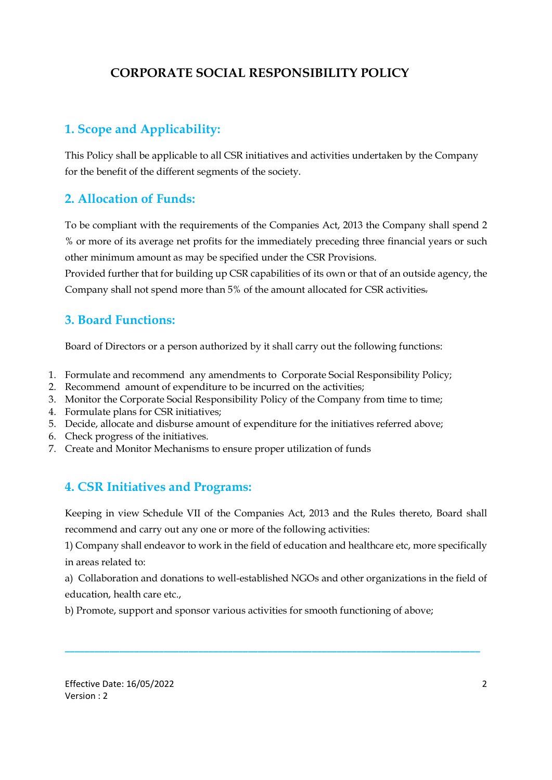# **CORPORATE SOCIAL RESPONSIBILITY POLICY**

# **1. Scope and Applicability:**

This Policy shall be applicable to all CSR initiatives and activities undertaken by the Company for the benefit of the different segments of the society.

### **2. Allocation of Funds:**

To be compliant with the requirements of the Companies Act, 2013 the Company shall spend 2 % or more of its average net profits for the immediately preceding three financial years or such other minimum amount as may be specified under the CSR Provisions.

Provided further that for building up CSR capabilities of its own or that of an outside agency, the Company shall not spend more than 5% of the amount allocated for CSR activities.

### **3. Board Functions:**

Board of Directors or a person authorized by it shall carry out the following functions:

- 1. Formulate and recommend any amendments to Corporate Social Responsibility Policy;
- 2. Recommend amount of expenditure to be incurred on the activities;
- 3. Monitor the Corporate Social Responsibility Policy of the Company from time to time;
- 4. Formulate plans for CSR initiatives;
- 5. Decide, allocate and disburse amount of expenditure for the initiatives referred above;
- 6. Check progress of the initiatives.
- 7. Create and Monitor Mechanisms to ensure proper utilization of funds

### **4. CSR Initiatives and Programs:**

Keeping in view Schedule VII of the Companies Act, 2013 and the Rules thereto, Board shall recommend and carry out any one or more of the following activities:

1) Company shall endeavor to work in the field of education and healthcare etc, more specifically in areas related to:

a) Collaboration and donations to well-established NGOs and other organizations in the field of education, health care etc.,

**\_\_\_\_\_\_\_\_\_\_\_\_\_\_\_\_\_\_\_\_\_\_\_\_\_\_\_\_\_\_\_\_\_\_\_\_\_\_\_\_\_\_\_\_\_\_\_\_\_\_\_\_\_\_\_\_\_\_\_\_\_\_\_\_\_\_\_\_\_\_\_\_\_\_\_\_\_\_\_\_\_\_\_\_** 

b) Promote, support and sponsor various activities for smooth functioning of above;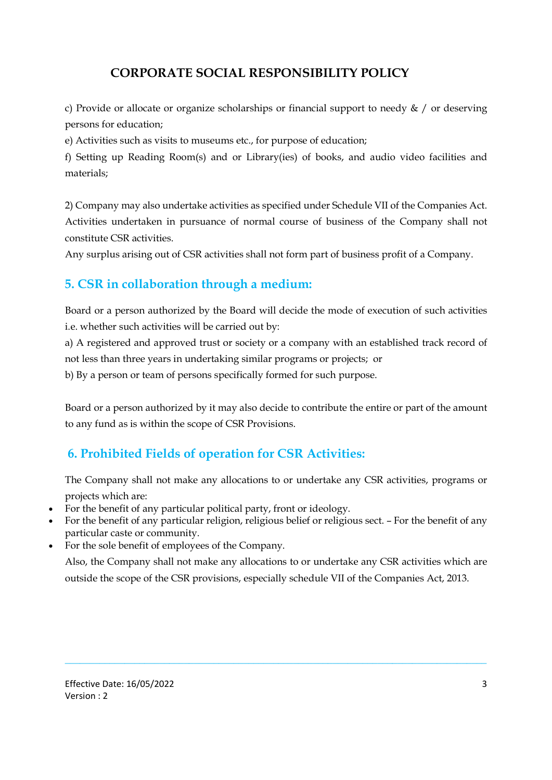# **CORPORATE SOCIAL RESPONSIBILITY POLICY**

c) Provide or allocate or organize scholarships or financial support to needy  $\&\prime$  or deserving persons for education;

e) Activities such as visits to museums etc., for purpose of education;

f) Setting up Reading Room(s) and or Library(ies) of books, and audio video facilities and materials;

2) Company may also undertake activities as specified under Schedule VII of the Companies Act. Activities undertaken in pursuance of normal course of business of the Company shall not constitute CSR activities.

Any surplus arising out of CSR activities shall not form part of business profit of a Company.

### **5. CSR in collaboration through a medium:**

Board or a person authorized by the Board will decide the mode of execution of such activities i.e. whether such activities will be carried out by:

a) A registered and approved trust or society or a company with an established track record of not less than three years in undertaking similar programs or projects; or

b) By a person or team of persons specifically formed for such purpose.

Board or a person authorized by it may also decide to contribute the entire or part of the amount to any fund as is within the scope of CSR Provisions.

## **6. Prohibited Fields of operation for CSR Activities:**

The Company shall not make any allocations to or undertake any CSR activities, programs or projects which are:

- For the benefit of any particular political party, front or ideology.
- For the benefit of any particular religion, religious belief or religious sect. For the benefit of any particular caste or community.
- For the sole benefit of employees of the Company.

Also, the Company shall not make any allocations to or undertake any CSR activities which are outside the scope of the CSR provisions, especially schedule VII of the Companies Act, 2013.

\_\_\_\_\_\_\_\_\_\_\_\_\_\_\_\_\_\_\_\_\_\_\_\_\_\_\_\_\_\_\_\_\_\_\_\_\_\_\_\_\_\_\_\_\_\_\_\_\_\_\_\_\_\_\_\_\_\_\_\_\_\_\_\_\_\_\_\_\_\_\_\_\_\_\_\_\_\_\_\_\_\_\_\_\_